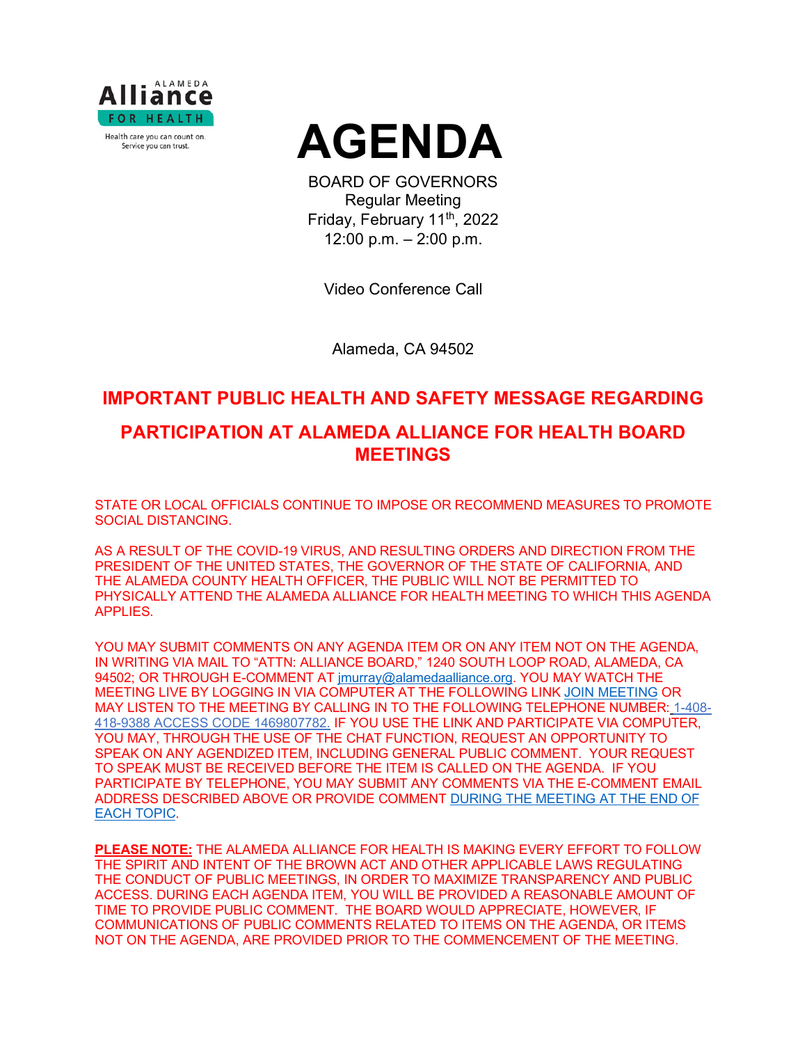



BOARD OF GOVERNORS Regular Meeting Friday, February 11<sup>th</sup>, 2022 12:00 p.m. – 2:00 p.m.

Video Conference Call

Alameda, CA 94502

## **IMPORTANT PUBLIC HEALTH AND SAFETY MESSAGE REGARDING**

# **PARTICIPATION AT ALAMEDA ALLIANCE FOR HEALTH BOARD MEETINGS**

STATE OR LOCAL OFFICIALS CONTINUE TO IMPOSE OR RECOMMEND MEASURES TO PROMOTE SOCIAL DISTANCING.

AS A RESULT OF THE COVID-19 VIRUS, AND RESULTING ORDERS AND DIRECTION FROM THE PRESIDENT OF THE UNITED STATES, THE GOVERNOR OF THE STATE OF CALIFORNIA, AND THE ALAMEDA COUNTY HEALTH OFFICER, THE PUBLIC WILL NOT BE PERMITTED TO PHYSICALLY ATTEND THE ALAMEDA ALLIANCE FOR HEALTH MEETING TO WHICH THIS AGENDA APPLIES.

YOU MAY SUBMIT COMMENTS ON ANY AGENDA ITEM OR ON ANY ITEM NOT ON THE AGENDA, IN WRITING VIA MAIL TO "ATTN: ALLIANCE BOARD," 1240 SOUTH LOOP ROAD, ALAMEDA, CA 94502; OR THROUGH E-COMMENT AT [jmurray@alamedaalliance.org.](mailto:jmurray@alamedaalliance.org) YOU MAY WATCH THE MEETING LIVE BY LOGGING IN VIA COMPUTER AT THE FOLLOWING LINK [JOIN MEETING](https://alamedaalliance.webex.com/alamedaalliance/j.php?MTID=m4fefbe72831c76b47303fd84ed522225) OR MAY LISTEN TO THE MEETING BY CALLING IN TO THE FOLLOWING TELEPHONE NUMBER: 1-408- 418-9388 ACCESS CODE 1469807782. IF YOU USE THE LINK AND PARTICIPATE VIA COMPUTER, YOU MAY, THROUGH THE USE OF THE CHAT FUNCTION, REQUEST AN OPPORTUNITY TO SPEAK ON ANY AGENDIZED ITEM, INCLUDING GENERAL PUBLIC COMMENT. YOUR REQUEST TO SPEAK MUST BE RECEIVED BEFORE THE ITEM IS CALLED ON THE AGENDA. IF YOU PARTICIPATE BY TELEPHONE, YOU MAY SUBMIT ANY COMMENTS VIA THE E-COMMENT EMAIL ADDRESS DESCRIBED ABOVE OR PROVIDE COMMENT DURING THE MEETING AT THE END OF EACH TOPIC.

**PLEASE NOTE:** THE ALAMEDA ALLIANCE FOR HEALTH IS MAKING EVERY EFFORT TO FOLLOW THE SPIRIT AND INTENT OF THE BROWN ACT AND OTHER APPLICABLE LAWS REGULATING THE CONDUCT OF PUBLIC MEETINGS, IN ORDER TO MAXIMIZE TRANSPARENCY AND PUBLIC ACCESS. DURING EACH AGENDA ITEM, YOU WILL BE PROVIDED A REASONABLE AMOUNT OF TIME TO PROVIDE PUBLIC COMMENT. THE BOARD WOULD APPRECIATE, HOWEVER, IF COMMUNICATIONS OF PUBLIC COMMENTS RELATED TO ITEMS ON THE AGENDA, OR ITEMS NOT ON THE AGENDA, ARE PROVIDED PRIOR TO THE COMMENCEMENT OF THE MEETING.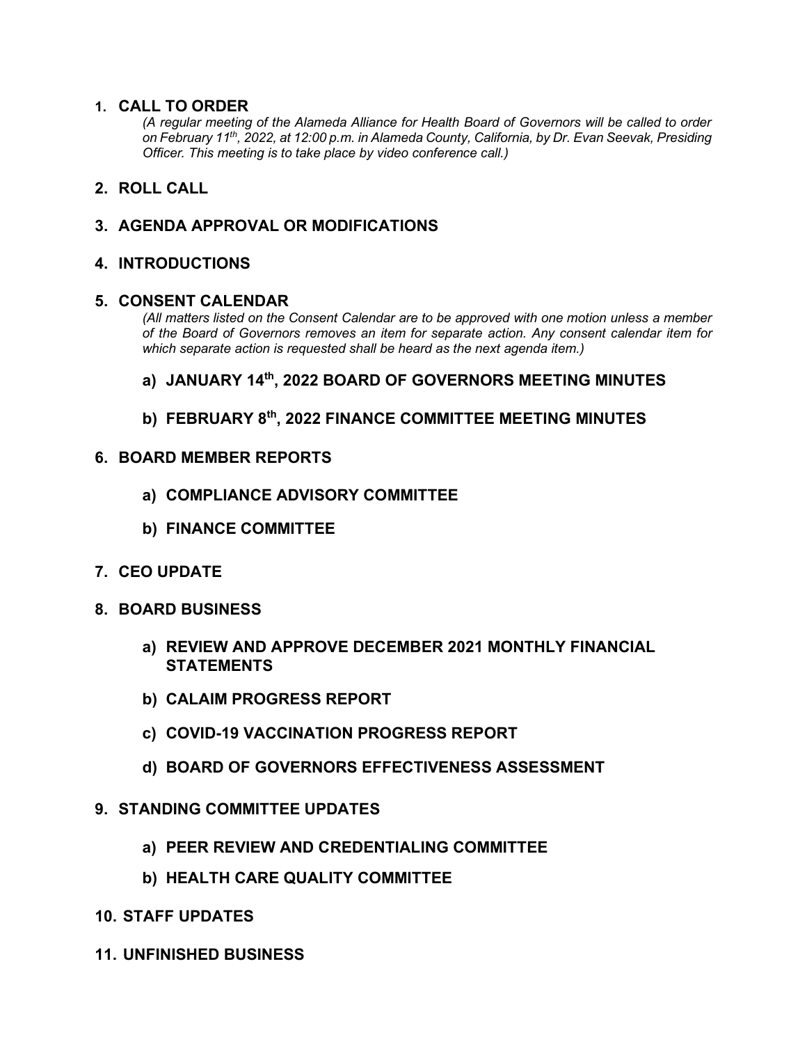#### **1. CALL TO ORDER**

*(A regular meeting of the Alameda Alliance for Health Board of Governors will be called to order on February 11th, 2022, at 12:00 p.m. in Alameda County, California, by Dr. Evan Seevak, Presiding Officer. This meeting is to take place by video conference call.)*

## **2. ROLL CALL**

## **3. AGENDA APPROVAL OR MODIFICATIONS**

#### **4. INTRODUCTIONS**

#### **5. CONSENT CALENDAR**

*(All matters listed on the Consent Calendar are to be approved with one motion unless a member of the Board of Governors removes an item for separate action. Any consent calendar item for which separate action is requested shall be heard as the next agenda item.)*

#### **a) JANUARY 14th, 2022 BOARD OF GOVERNORS MEETING MINUTES**

## **b) FEBRUARY 8th, 2022 FINANCE COMMITTEE MEETING MINUTES**

#### **6. BOARD MEMBER REPORTS**

- **a) COMPLIANCE ADVISORY COMMITTEE**
- **b) FINANCE COMMITTEE**
- **7. CEO UPDATE**
- **8. BOARD BUSINESS**
	- **a) REVIEW AND APPROVE DECEMBER 2021 MONTHLY FINANCIAL STATEMENTS**
	- **b) CALAIM PROGRESS REPORT**
	- **c) COVID-19 VACCINATION PROGRESS REPORT**
	- **d) BOARD OF GOVERNORS EFFECTIVENESS ASSESSMENT**

#### **9. STANDING COMMITTEE UPDATES**

- **a) PEER REVIEW AND CREDENTIALING COMMITTEE**
- **b) HEALTH CARE QUALITY COMMITTEE**
- **10. STAFF UPDATES**
- **11. UNFINISHED BUSINESS**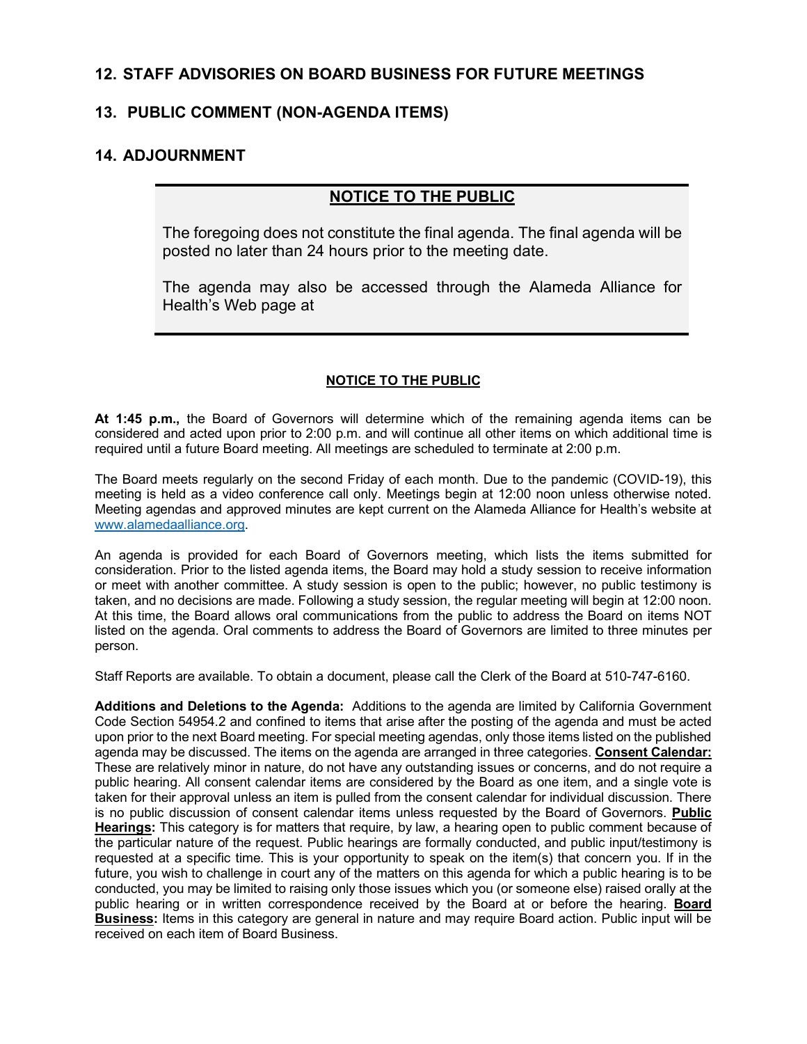## **12. STAFF ADVISORIES ON BOARD BUSINESS FOR FUTURE MEETINGS**

## **13. PUBLIC COMMENT (NON-AGENDA ITEMS)**

## **14. ADJOURNMENT**

## **NOTICE TO THE PUBLIC**

The foregoing does not constitute the final agenda. The final agenda will be posted no later than 24 hours prior to the meeting date.

The agenda may also be accessed through the Alameda Alliance for Health's Web page at

#### **NOTICE TO THE PUBLIC**

**At 1:45 p.m.,** the Board of Governors will determine which of the remaining agenda items can be considered and acted upon prior to 2:00 p.m. and will continue all other items on which additional time is required until a future Board meeting. All meetings are scheduled to terminate at 2:00 p.m.

The Board meets regularly on the second Friday of each month. Due to the pandemic (COVID-19), this meeting is held as a video conference call only. Meetings begin at 12:00 noon unless otherwise noted. Meeting agendas and approved minutes are kept current on the Alameda Alliance for Health's website at [www.alamedaalliance.org.](http://www.alamedaalliance.org/)

An agenda is provided for each Board of Governors meeting, which lists the items submitted for consideration. Prior to the listed agenda items, the Board may hold a study session to receive information or meet with another committee. A study session is open to the public; however, no public testimony is taken, and no decisions are made. Following a study session, the regular meeting will begin at 12:00 noon. At this time, the Board allows oral communications from the public to address the Board on items NOT listed on the agenda. Oral comments to address the Board of Governors are limited to three minutes per person.

Staff Reports are available. To obtain a document, please call the Clerk of the Board at 510-747-6160.

**Additions and Deletions to the Agenda:** Additions to the agenda are limited by California Government Code Section 54954.2 and confined to items that arise after the posting of the agenda and must be acted upon prior to the next Board meeting. For special meeting agendas, only those items listed on the published agenda may be discussed. The items on the agenda are arranged in three categories. **Consent Calendar:** These are relatively minor in nature, do not have any outstanding issues or concerns, and do not require a public hearing. All consent calendar items are considered by the Board as one item, and a single vote is taken for their approval unless an item is pulled from the consent calendar for individual discussion. There is no public discussion of consent calendar items unless requested by the Board of Governors. **Public Hearings:** This category is for matters that require, by law, a hearing open to public comment because of the particular nature of the request. Public hearings are formally conducted, and public input/testimony is requested at a specific time. This is your opportunity to speak on the item(s) that concern you. If in the future, you wish to challenge in court any of the matters on this agenda for which a public hearing is to be conducted, you may be limited to raising only those issues which you (or someone else) raised orally at the public hearing or in written correspondence received by the Board at or before the hearing. **Board Business:** Items in this category are general in nature and may require Board action. Public input will be received on each item of Board Business.